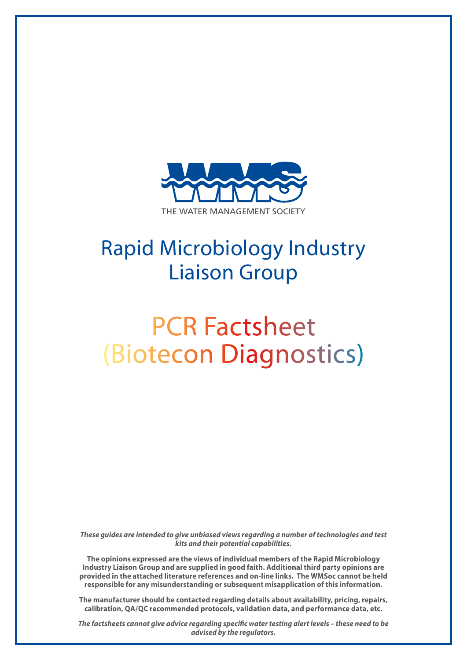

## Rapid Microbiology Industry Liaison Group

# PCR Factsheet (Biotecon Diagnostics)

*These guides are intended to give unbiased views regarding a number of technologies and test kits and their potential capabilities.*

**The opinions expressed are the views of individual members of the Rapid Microbiology Industry Liaison Group and are supplied in good faith. Additional third party opinions are provided in the attached literature references and on-line links. The WMSoc cannot be held responsible for any misunderstanding or subsequent misapplication of this information.**

**The manufacturer should be contacted regarding details about availability, pricing, repairs, calibration, QA/QC recommended protocols, validation data, and performance data, etc.**

*The factsheets cannot give advice regarding specific water testing alert levels – these need to be advised by the regulators.*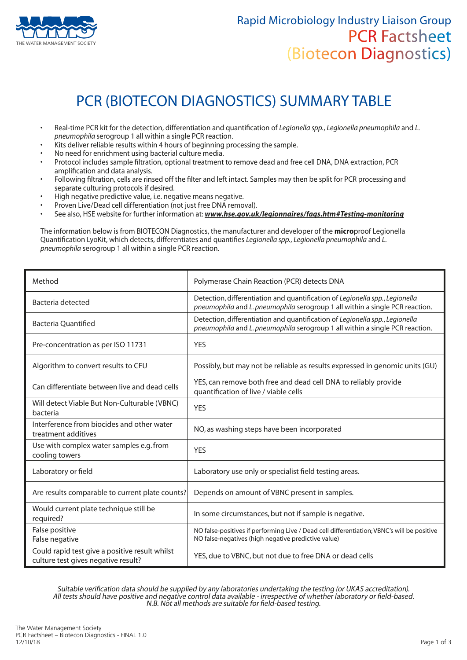

### PCR (BIOTECON DIAGNOSTICS) SUMMARY TABLE

- Real-time PCR kit for the detection, differentiation and quantification of *Legionella spp.*, *Legionella pneumophila* and *L. pneumophila* serogroup 1 all within a single PCR reaction.
- Kits deliver reliable results within 4 hours of beginning processing the sample.
- No need for enrichment using bacterial culture media.
- Protocol includes sample filtration, optional treatment to remove dead and free cell DNA, DNA extraction, PCR amplification and data analysis.
- Following filtration, cells are rinsed off the filter and left intact. Samples may then be split for PCR processing and separate culturing protocols if desired.
- High negative predictive value, i.e. negative means negative.
- Proven Live/Dead cell differentiation (not just free DNA removal).
- See also, HSE website for further information at: *www.hse.gov.uk/legionnaires/faqs.htm#Testing-monitoring*

The information below is from BIOTECON Diagnostics, the manufacturer and developer of the **micro**proof Legionella Quantification LyoKit, which detects, differentiates and quantifies *Legionella spp.*, *Legionella pneumophila* and *L. pneumophila* serogroup 1 all within a single PCR reaction.

| Method                                                                                | Polymerase Chain Reaction (PCR) detects DNA                                                                                                                  |
|---------------------------------------------------------------------------------------|--------------------------------------------------------------------------------------------------------------------------------------------------------------|
| Bacteria detected                                                                     | Detection, differentiation and quantification of Legionella spp., Legionella<br>pneumophila and L. pneumophila serogroup 1 all within a single PCR reaction. |
| <b>Bacteria Quantified</b>                                                            | Detection, differentiation and quantification of Legionella spp., Legionella<br>pneumophila and L. pneumophila serogroup 1 all within a single PCR reaction. |
| Pre-concentration as per ISO 11731                                                    | <b>YES</b>                                                                                                                                                   |
| Algorithm to convert results to CFU                                                   | Possibly, but may not be reliable as results expressed in genomic units (GU)                                                                                 |
| Can differentiate between live and dead cells                                         | YES, can remove both free and dead cell DNA to reliably provide<br>quantification of live / viable cells                                                     |
| Will detect Viable But Non-Culturable (VBNC)<br>bacteria                              | <b>YES</b>                                                                                                                                                   |
| Interference from biocides and other water<br>treatment additives                     | NO, as washing steps have been incorporated                                                                                                                  |
| Use with complex water samples e.g. from<br>cooling towers                            | <b>YES</b>                                                                                                                                                   |
| Laboratory or field                                                                   | Laboratory use only or specialist field testing areas.                                                                                                       |
| Are results comparable to current plate counts?                                       | Depends on amount of VBNC present in samples.                                                                                                                |
| Would current plate technique still be<br>required?                                   | In some circumstances, but not if sample is negative.                                                                                                        |
| False positive<br>False negative                                                      | NO false-positives if performing Live / Dead cell differentiation; VBNC's will be positive<br>NO false-negatives (high negative predictive value)            |
| Could rapid test give a positive result whilst<br>culture test gives negative result? | YES, due to VBNC, but not due to free DNA or dead cells                                                                                                      |

Suitable verification data should be supplied by any laboratories undertaking the testing (or UKAS accreditation). All tests should have positive and negative control data available - irrespective of whether laboratory or field-based.<br>N.B. Not all methods are suitable for field-based testing.<br>N.B. Not all methods are suitable for field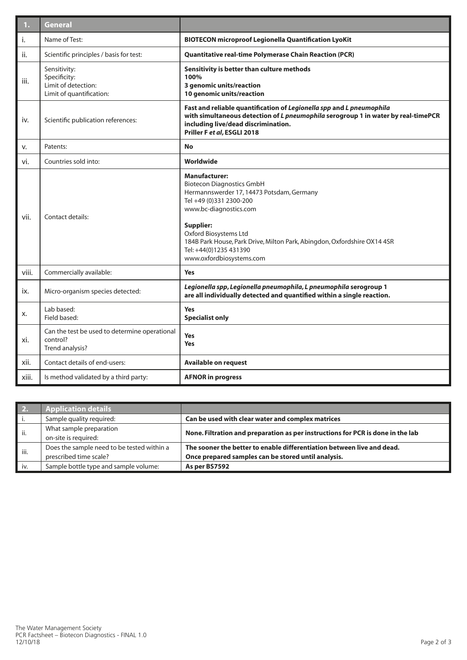| 1.    | <b>General</b>                                                                  |                                                                                                                                                                                                                                                                                                                                           |  |
|-------|---------------------------------------------------------------------------------|-------------------------------------------------------------------------------------------------------------------------------------------------------------------------------------------------------------------------------------------------------------------------------------------------------------------------------------------|--|
| i.    | Name of Test:                                                                   | <b>BIOTECON microproof Legionella Quantification LyoKit</b>                                                                                                                                                                                                                                                                               |  |
| ii.   | Scientific principles / basis for test:                                         | Quantitative real-time Polymerase Chain Reaction (PCR)                                                                                                                                                                                                                                                                                    |  |
| iii.  | Sensitivity:<br>Specificity:<br>Limit of detection:<br>Limit of quantification: | Sensitivity is better than culture methods<br>100%<br>3 genomic units/reaction<br>10 genomic units/reaction                                                                                                                                                                                                                               |  |
| iv.   | Scientific publication references:                                              | Fast and reliable quantification of Legionella spp and L pneumophila<br>with simultaneous detection of L pneumophila serogroup 1 in water by real-timePCR<br>including live/dead discrimination.<br>Priller F et al, ESGLI 2018                                                                                                           |  |
| v.    | Patents:                                                                        | <b>No</b>                                                                                                                                                                                                                                                                                                                                 |  |
| vi.   | Countries sold into:                                                            | Worldwide                                                                                                                                                                                                                                                                                                                                 |  |
| vii.  | Contact details:                                                                | <b>Manufacturer:</b><br><b>Biotecon Diagnostics GmbH</b><br>Hermannswerder 17, 14473 Potsdam, Germany<br>Tel +49 (0)331 2300-200<br>www.bc-diagnostics.com<br><b>Supplier:</b><br>Oxford Biosystems Ltd<br>184B Park House, Park Drive, Milton Park, Abingdon, Oxfordshire OX14 4SR<br>Tel: +44(0)1235 431390<br>www.oxfordbiosystems.com |  |
| viii. | Commercially available:                                                         | <b>Yes</b>                                                                                                                                                                                                                                                                                                                                |  |
| ix.   | Micro-organism species detected:                                                | Legionella spp, Legionella pneumophila, L pneumophila serogroup 1<br>are all individually detected and quantified within a single reaction.                                                                                                                                                                                               |  |
| x.    | Lab based:<br>Field based:                                                      | <b>Yes</b><br><b>Specialist only</b>                                                                                                                                                                                                                                                                                                      |  |
| xi.   | Can the test be used to determine operational<br>control?<br>Trend analysis?    | <b>Yes</b><br><b>Yes</b>                                                                                                                                                                                                                                                                                                                  |  |
| xii.  | Contact details of end-users:                                                   | <b>Available on request</b>                                                                                                                                                                                                                                                                                                               |  |
| xiii. | Is method validated by a third party:                                           | <b>AFNOR in progress</b>                                                                                                                                                                                                                                                                                                                  |  |

| 2.   | <b>Application details</b>                 |                                                                                 |
|------|--------------------------------------------|---------------------------------------------------------------------------------|
|      | Sample quality required:                   | Can be used with clear water and complex matrices                               |
| ii.  | What sample preparation                    |                                                                                 |
|      | on-site is required:                       | None. Filtration and preparation as per instructions for PCR is done in the lab |
| iii. | Does the sample need to be tested within a | The sooner the better to enable differentiation between live and dead.          |
|      | prescribed time scale?                     | Once prepared samples can be stored until analysis.                             |
| iv.  | Sample bottle type and sample volume:      | As per BS7592                                                                   |